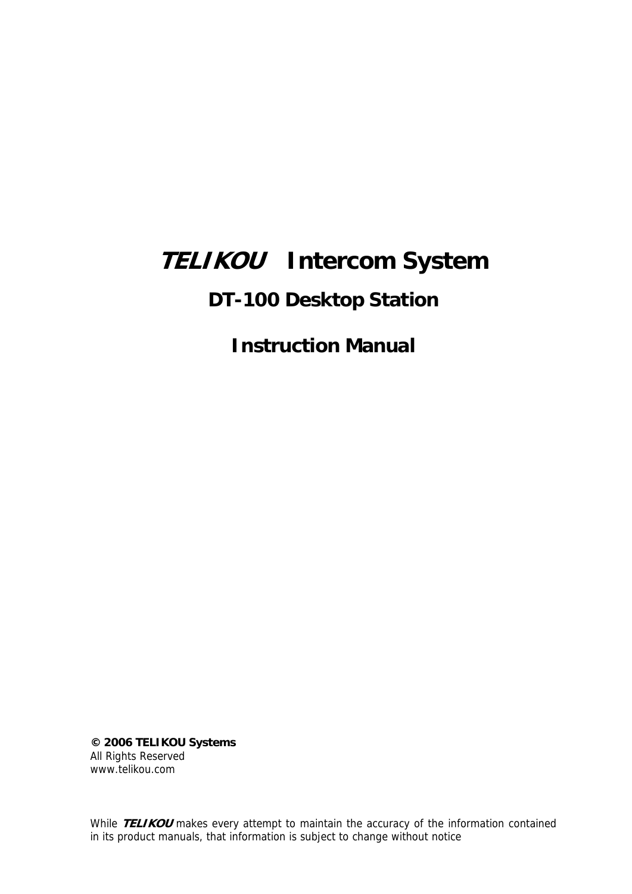# **TELIKOU Intercom System**

# **DT-100 Desktop Station**

**Instruction Manual** 

**© 2006 TELIKOU Systems** All Rights Reserved www.telikou.com

While **TELIKOU** makes every attempt to maintain the accuracy of the information contained in its product manuals, that information is subject to change without notice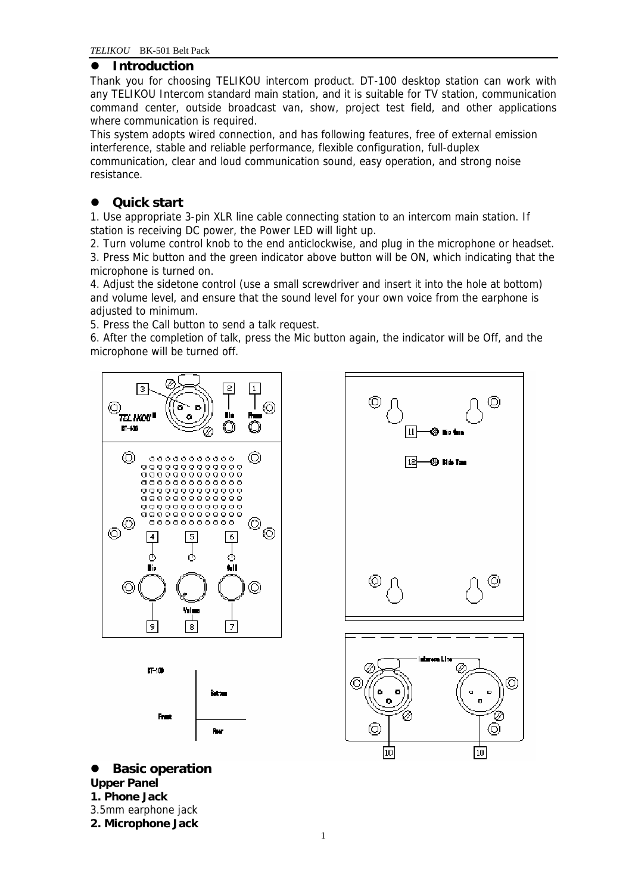## $\bullet$  Introduction

Thank you for choosing TELIKOU intercom product. DT-100 desktop station can work with any TELIKOU Intercom standard main station, and it is suitable for TV station, communication command center, outside broadcast van, show, project test field, and other applications where communication is required.

This system adopts wired connection, and has following features, free of external emission interference, stable and reliable performance, flexible configuration, full-duplex communication, clear and loud communication sound, easy operation, and strong noise resistance.

# **Quick start**

1. Use appropriate 3-pin XLR line cable connecting station to an intercom main station. If station is receiving DC power, the Power LED will light up.

2. Turn volume control knob to the end anticlockwise, and plug in the microphone or headset. 3. Press Mic button and the green indicator above button will be ON, which indicating that the

microphone is turned on. 4. Adjust the sidetone control (use a small screwdriver and insert it into the hole at bottom)

and volume level, and ensure that the sound level for your own voice from the earphone is adjusted to minimum.

5. Press the Call button to send a talk request.

6. After the completion of talk, press the Mic button again, the indicator will be Off, and the microphone will be turned off.







**Basic operation Upper Panel 1. Phone Jack**  3.5mm earphone jack **2. Microphone Jack**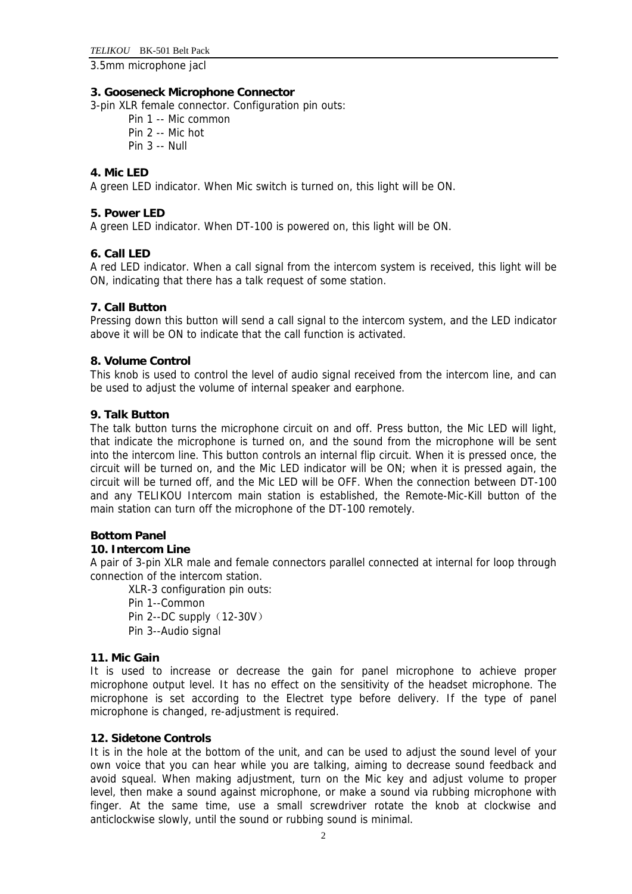3.5mm microphone jacl

#### **3. Gooseneck Microphone Connector**

3-pin XLR female connector. Configuration pin outs:

- Pin 1 -- Mic common
- Pin 2 -- Mic hot
- Pin 3 -- Null

#### **4. Mic LED**

A green LED indicator. When Mic switch is turned on, this light will be ON.

#### **5. Power LED**

A green LED indicator. When DT-100 is powered on, this light will be ON.

#### **6. Call LED**

A red LED indicator. When a call signal from the intercom system is received, this light will be ON, indicating that there has a talk request of some station.

#### **7. Call Button**

Pressing down this button will send a call signal to the intercom system, and the LED indicator above it will be ON to indicate that the call function is activated.

#### **8. Volume Control**

This knob is used to control the level of audio signal received from the intercom line, and can be used to adjust the volume of internal speaker and earphone.

#### **9. Talk Button**

The talk button turns the microphone circuit on and off. Press button, the Mic LED will light, that indicate the microphone is turned on, and the sound from the microphone will be sent into the intercom line. This button controls an internal flip circuit. When it is pressed once, the circuit will be turned on, and the Mic LED indicator will be ON; when it is pressed again, the circuit will be turned off, and the Mic LED will be OFF. When the connection between DT-100 and any TELIKOU Intercom main station is established, the Remote-Mic-Kill button of the main station can turn off the microphone of the DT-100 remotely.

#### **Bottom Panel**

#### **10. Intercom Line**

A pair of 3-pin XLR male and female connectors parallel connected at internal for loop through connection of the intercom station.

XLR-3 configuration pin outs: Pin 1--Common Pin 2--DC supply (12-30V) Pin 3--Audio signal

#### **11. Mic Gain**

It is used to increase or decrease the gain for panel microphone to achieve proper microphone output level. It has no effect on the sensitivity of the headset microphone. The microphone is set according to the Electret type before delivery. If the type of panel microphone is changed, re-adjustment is required.

#### **12. Sidetone Controls**

It is in the hole at the bottom of the unit, and can be used to adjust the sound level of your own voice that you can hear while you are talking, aiming to decrease sound feedback and avoid squeal. When making adjustment, turn on the Mic key and adjust volume to proper level, then make a sound against microphone, or make a sound via rubbing microphone with finger. At the same time, use a small screwdriver rotate the knob at clockwise and anticlockwise slowly, until the sound or rubbing sound is minimal.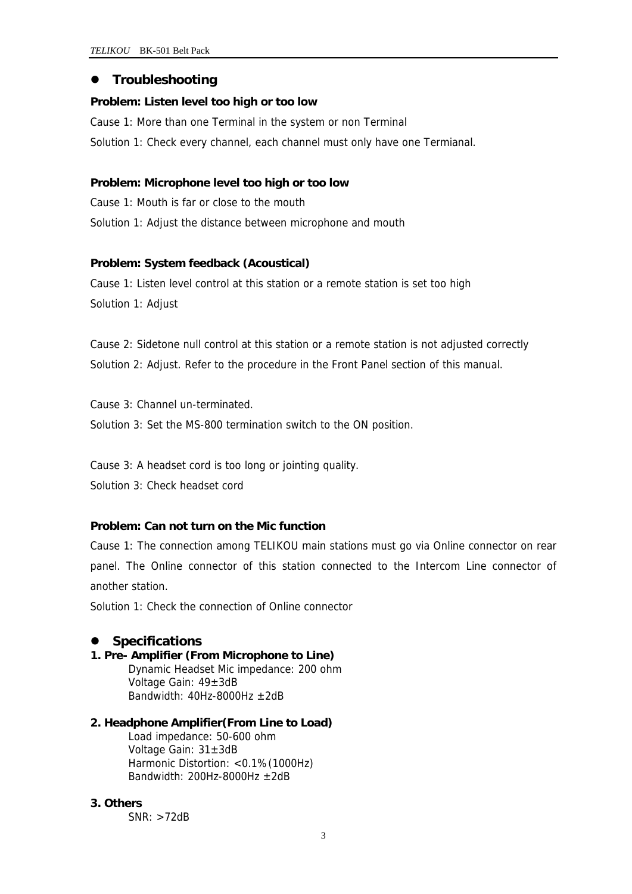## $\bullet$  Troubleshooting

#### **Problem: Listen level too high or too low**

Cause 1: More than one Terminal in the system or non Terminal Solution 1: Check every channel, each channel must only have one Termianal.

#### **Problem: Microphone level too high or too low**

Cause 1: Mouth is far or close to the mouth Solution 1: Adjust the distance between microphone and mouth

#### **Problem: System feedback (Acoustical)**

Cause 1: Listen level control at this station or a remote station is set too high Solution 1: Adjust

Cause 2: Sidetone null control at this station or a remote station is not adjusted correctly Solution 2: Adjust. Refer to the procedure in the Front Panel section of this manual.

Cause 3: Channel un-terminated. Solution 3: Set the MS-800 termination switch to the ON position.

Cause 3: A headset cord is too long or jointing quality.

Solution 3: Check headset cord

#### **Problem: Can not turn on the Mic function**

Cause 1: The connection among TELIKOU main stations must go via Online connector on rear panel. The Online connector of this station connected to the Intercom Line connector of another station.

Solution 1: Check the connection of Online connector

# z **Specifications**

**1. Pre- Amplifier (From Microphone to Line)**  Dynamic Headset Mic impedance: 200 ohm Voltage Gain: 49±3dB Bandwidth:  $40$ Hz-8000Hz  $\pm 2$ dB

#### **2. Headphone Amplifier(From Line to Load)**  Load impedance: 50-600 ohm Voltage Gain: 31±3dB Harmonic Distortion: <0.1%(1000Hz) Bandwidth: 200Hz-8000Hz  $\pm$ 2dB

#### **3. Others**

SNR: >72dB